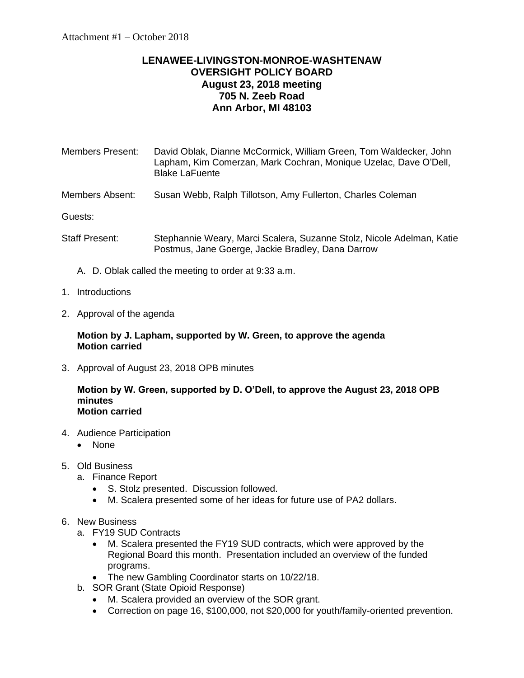## **LENAWEE-LIVINGSTON-MONROE-WASHTENAW OVERSIGHT POLICY BOARD August 23, 2018 meeting 705 N. Zeeb Road Ann Arbor, MI 48103**

| Members Present: | David Oblak, Dianne McCormick, William Green, Tom Waldecker, John<br>Lapham, Kim Comerzan, Mark Cochran, Monique Uzelac, Dave O'Dell, |
|------------------|---------------------------------------------------------------------------------------------------------------------------------------|
|                  | <b>Blake LaFuente</b>                                                                                                                 |

Members Absent: Susan Webb, Ralph Tillotson, Amy Fullerton, Charles Coleman

Guests:

- Staff Present: Stephannie Weary, Marci Scalera, Suzanne Stolz, Nicole Adelman, Katie Postmus, Jane Goerge, Jackie Bradley, Dana Darrow
	- A. D. Oblak called the meeting to order at 9:33 a.m.
- 1. Introductions
- 2. Approval of the agenda

## **Motion by J. Lapham, supported by W. Green, to approve the agenda Motion carried**

3. Approval of August 23, 2018 OPB minutes

## **Motion by W. Green, supported by D. O'Dell, to approve the August 23, 2018 OPB minutes Motion carried**

- 4. Audience Participation
	- None
- 5. Old Business
	- a. Finance Report
		- S. Stolz presented. Discussion followed.
		- M. Scalera presented some of her ideas for future use of PA2 dollars.
- 6. New Business
	- a. FY19 SUD Contracts
		- M. Scalera presented the FY19 SUD contracts, which were approved by the Regional Board this month. Presentation included an overview of the funded programs.
		- The new Gambling Coordinator starts on 10/22/18.
	- b. SOR Grant (State Opioid Response)
		- M. Scalera provided an overview of the SOR grant.
		- Correction on page 16, \$100,000, not \$20,000 for youth/family-oriented prevention.